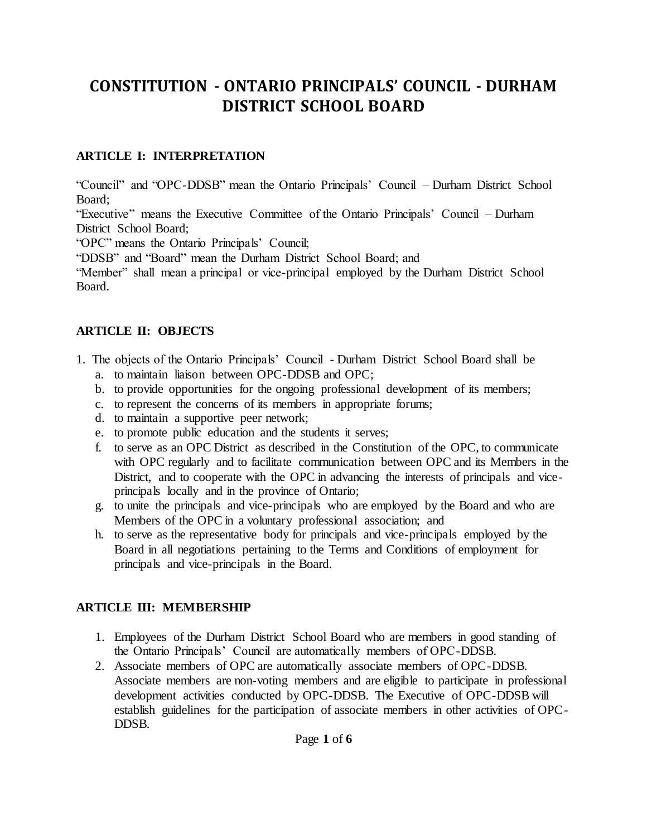# **CONSTITUTION - ONTARIO PRINCIPALS' COUNCIL - DURHAM DISTRICT SCHOOL BOARD**

# **ARTICLE I: INTERPRETATION**

"Council" and "OPC-DDSB" mean the Ontario Principals' Council – Durham District School Board;

"Executive" means the Executive Committee of the Ontario Principals' Council – Durham District School Board;

"OPC" means the Ontario Principals' Council;

"DDSB" and "Board" mean the Durham District School Board; and

"Member" shall mean a principal or vice-principal employed by the Durham District School Board.

# **ARTICLE II: OBJECTS**

- 1. The objects of the Ontario Principals' Council Durham District School Board shall be a. to maintain liaison between OPC-DDSB and OPC;
	- b. to provide opportunities for the ongoing professional development of its members;
	- c. to represent the concerns of its members in appropriate forums;
	- d. to maintain a supportive peer network;
	- e. to promote public education and the students it serves;
	- f. to serve as an OPC District as described in the Constitution of the OPC, to communicate with OPC regularly and to facilitate communication between OPC and its Members in the District, and to cooperate with the OPC in advancing the interests of principals and viceprincipals locally and in the province of Ontario;
	- g. to unite the principals and vice-principals who are employed by the Board and who are Members of the OPC in a voluntary professional association; and
	- h. to serve as the representative body for principals and vice-principals employed by the Board in all negotiations pertaining to the Terms and Conditions of employment for principals and vice-principals in the Board.

# **ARTICLE III: MEMBERSHIP**

- 1. Employees of the Durham District School Board who are members in good standing of the Ontario Principals' Council are automatically members of OPC-DDSB.
- 2. Associate members of OPC are automatically associate members of OPC-DDSB. Associate members are non-voting members and are eligible to participate in professional development activities conducted by OPC-DDSB. The Executive of OPC-DDSB will establish guidelines for the participation of associate members in other activities of OPC-DDSB.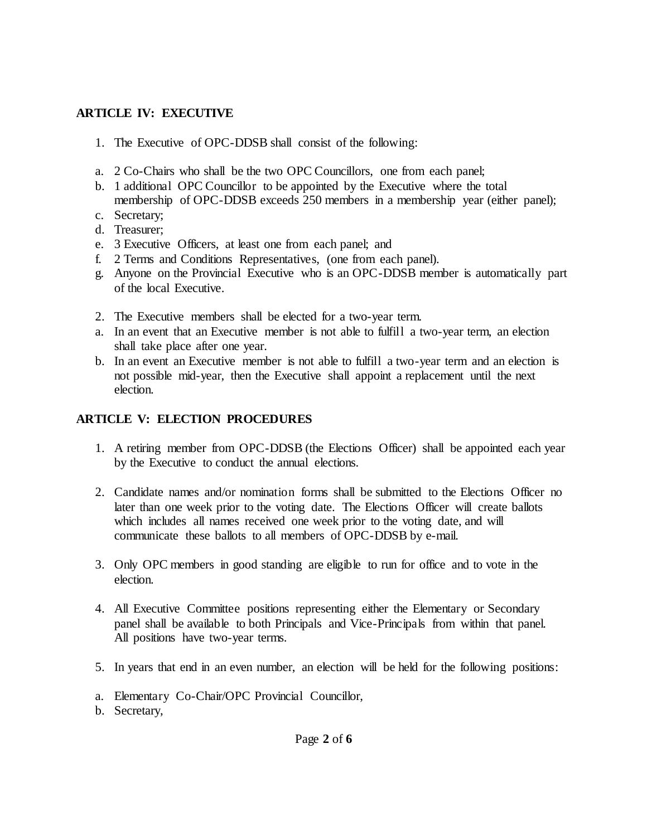### **ARTICLE IV: EXECUTIVE**

- 1. The Executive of OPC-DDSB shall consist of the following:
- a. 2 Co-Chairs who shall be the two OPC Councillors, one from each panel;
- b. 1 additional OPC Councillor to be appointed by the Executive where the total membership of OPC-DDSB exceeds 250 members in a membership year (either panel);
- c. Secretary;
- d. Treasurer;
- e. 3 Executive Officers, at least one from each panel; and
- f. 2 Terms and Conditions Representatives, (one from each panel).
- g. Anyone on the Provincial Executive who is an OPC-DDSB member is automatically part of the local Executive.
- 2. The Executive members shall be elected for a two-year term.
- a. In an event that an Executive member is not able to fulfill a two-year term, an election shall take place after one year.
- b. In an event an Executive member is not able to fulfill a two-year term and an election is not possible mid-year, then the Executive shall appoint a replacement until the next election.

### **ARTICLE V: ELECTION PROCEDURES**

- 1. A retiring member from OPC-DDSB (the Elections Officer) shall be appointed each year by the Executive to conduct the annual elections.
- 2. Candidate names and/or nomination forms shall be submitted to the Elections Officer no later than one week prior to the voting date. The Elections Officer will create ballots which includes all names received one week prior to the voting date, and will communicate these ballots to all members of OPC-DDSB by e-mail.
- 3. Only OPC members in good standing are eligible to run for office and to vote in the election.
- 4. All Executive Committee positions representing either the Elementary or Secondary panel shall be available to both Principals and Vice-Principals from within that panel. All positions have two-year terms.
- 5. In years that end in an even number, an election will be held for the following positions:
- a. Elementary Co-Chair/OPC Provincial Councillor,
- b. Secretary,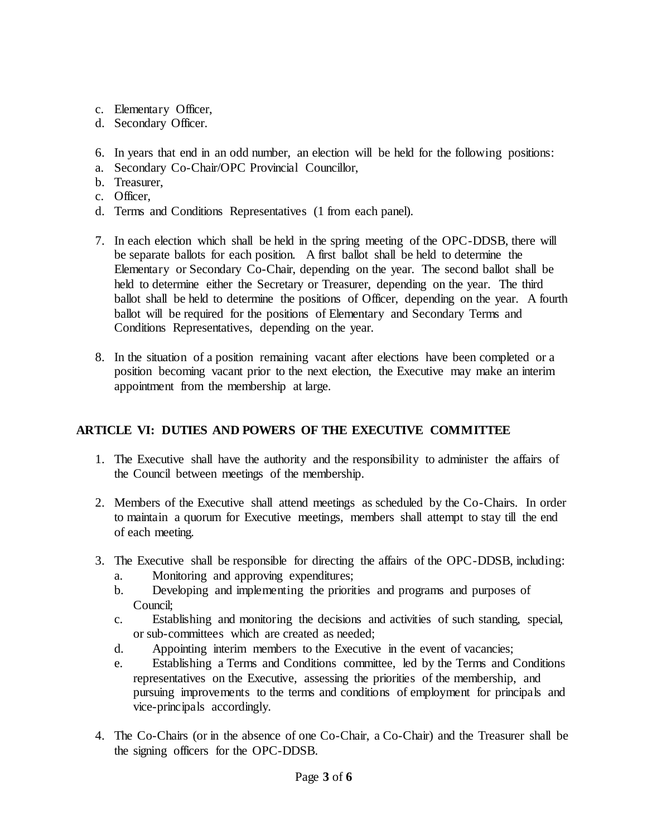- c. Elementary Officer,
- d. Secondary Officer.
- 6. In years that end in an odd number, an election will be held for the following positions:
- a. Secondary Co-Chair/OPC Provincial Councillor,
- b. Treasurer,
- c. Officer,
- d. Terms and Conditions Representatives (1 from each panel).
- 7. In each election which shall be held in the spring meeting of the OPC-DDSB, there will be separate ballots for each position. A first ballot shall be held to determine the Elementary or Secondary Co-Chair, depending on the year. The second ballot shall be held to determine either the Secretary or Treasurer, depending on the year. The third ballot shall be held to determine the positions of Officer, depending on the year. A fourth ballot will be required for the positions of Elementary and Secondary Terms and Conditions Representatives, depending on the year.
- 8. In the situation of a position remaining vacant after elections have been completed or a position becoming vacant prior to the next election, the Executive may make an interim appointment from the membership at large.

# **ARTICLE VI: DUTIES AND POWERS OF THE EXECUTIVE COMMITTEE**

- 1. The Executive shall have the authority and the responsibility to administer the affairs of the Council between meetings of the membership.
- 2. Members of the Executive shall attend meetings as scheduled by the Co-Chairs. In order to maintain a quorum for Executive meetings, members shall attempt to stay till the end of each meeting.
- 3. The Executive shall be responsible for directing the affairs of the OPC-DDSB, including:
	- a. Monitoring and approving expenditures;
	- b. Developing and implementing the priorities and programs and purposes of Council;
	- c. Establishing and monitoring the decisions and activities of such standing, special, or sub-committees which are created as needed;
	- d. Appointing interim members to the Executive in the event of vacancies;
	- e. Establishing a Terms and Conditions committee, led by the Terms and Conditions representatives on the Executive, assessing the priorities of the membership, and pursuing improvements to the terms and conditions of employment for principals and vice-principals accordingly.
- 4. The Co-Chairs (or in the absence of one Co-Chair, a Co-Chair) and the Treasurer shall be the signing officers for the OPC-DDSB.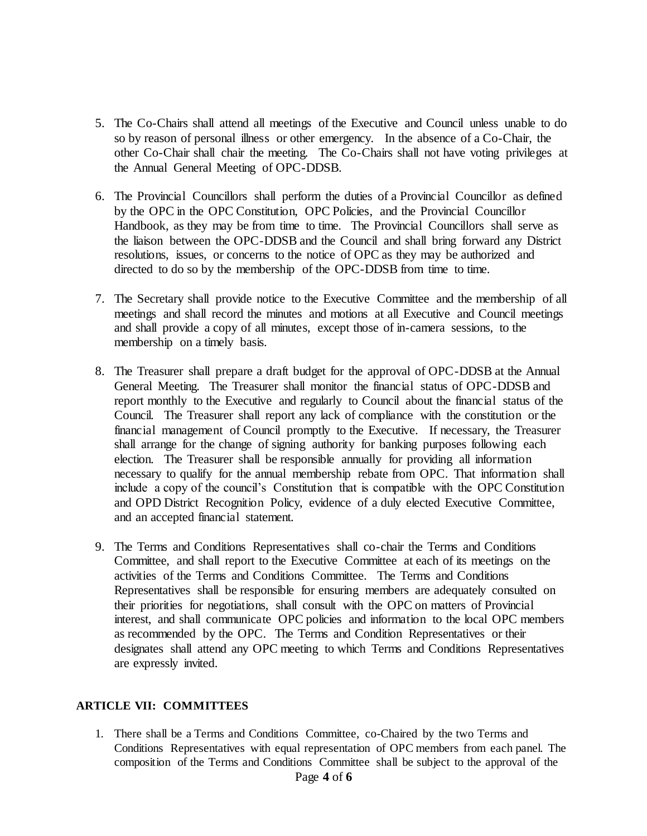- 5. The Co-Chairs shall attend all meetings of the Executive and Council unless unable to do so by reason of personal illness or other emergency. In the absence of a Co-Chair, the other Co-Chair shall chair the meeting. The Co-Chairs shall not have voting privileges at the Annual General Meeting of OPC-DDSB.
- 6. The Provincial Councillors shall perform the duties of a Provincial Councillor as defined by the OPC in the OPC Constitution, OPC Policies, and the Provincial Councillor Handbook, as they may be from time to time. The Provincial Councillors shall serve as the liaison between the OPC-DDSB and the Council and shall bring forward any District resolutions, issues, or concerns to the notice of OPC as they may be authorized and directed to do so by the membership of the OPC-DDSB from time to time.
- 7. The Secretary shall provide notice to the Executive Committee and the membership of all meetings and shall record the minutes and motions at all Executive and Council meetings and shall provide a copy of all minutes, except those of in-camera sessions, to the membership on a timely basis.
- 8. The Treasurer shall prepare a draft budget for the approval of OPC-DDSB at the Annual General Meeting. The Treasurer shall monitor the financial status of OPC-DDSB and report monthly to the Executive and regularly to Council about the financial status of the Council. The Treasurer shall report any lack of compliance with the constitution or the financial management of Council promptly to the Executive. If necessary, the Treasurer shall arrange for the change of signing authority for banking purposes following each election. The Treasurer shall be responsible annually for providing all information necessary to qualify for the annual membership rebate from OPC. That information shall include a copy of the council's Constitution that is compatible with the OPC Constitution and OPD District Recognition Policy, evidence of a duly elected Executive Committee, and an accepted financial statement.
- 9. The Terms and Conditions Representatives shall co-chair the Terms and Conditions Committee, and shall report to the Executive Committee at each of its meetings on the activities of the Terms and Conditions Committee. The Terms and Conditions Representatives shall be responsible for ensuring members are adequately consulted on their priorities for negotiations, shall consult with the OPC on matters of Provincial interest, and shall communicate OPC policies and information to the local OPC members as recommended by the OPC. The Terms and Condition Representatives or their designates shall attend any OPC meeting to which Terms and Conditions Representatives are expressly invited.

#### **ARTICLE VII: COMMITTEES**

1. There shall be a Terms and Conditions Committee, co-Chaired by the two Terms and Conditions Representatives with equal representation of OPC members from each panel. The composition of the Terms and Conditions Committee shall be subject to the approval of the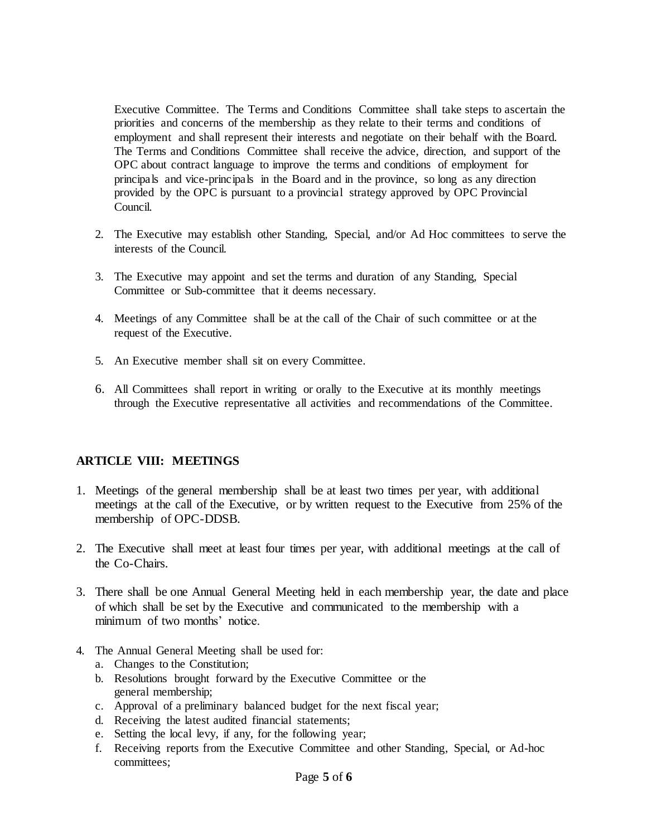Executive Committee. The Terms and Conditions Committee shall take steps to ascertain the priorities and concerns of the membership as they relate to their terms and conditions of employment and shall represent their interests and negotiate on their behalf with the Board. The Terms and Conditions Committee shall receive the advice, direction, and support of the OPC about contract language to improve the terms and conditions of employment for principals and vice-principals in the Board and in the province, so long as any direction provided by the OPC is pursuant to a provincial strategy approved by OPC Provincial Council.

- 2. The Executive may establish other Standing, Special, and/or Ad Hoc committees to serve the interests of the Council.
- 3. The Executive may appoint and set the terms and duration of any Standing, Special Committee or Sub-committee that it deems necessary.
- 4. Meetings of any Committee shall be at the call of the Chair of such committee or at the request of the Executive.
- 5. An Executive member shall sit on every Committee.
- 6. All Committees shall report in writing or orally to the Executive at its monthly meetings through the Executive representative all activities and recommendations of the Committee.

#### **ARTICLE VIII: MEETINGS**

- 1. Meetings of the general membership shall be at least two times per year, with additional meetings at the call of the Executive, or by written request to the Executive from 25% of the membership of OPC-DDSB.
- 2. The Executive shall meet at least four times per year, with additional meetings at the call of the Co-Chairs.
- 3. There shall be one Annual General Meeting held in each membership year, the date and place of which shall be set by the Executive and communicated to the membership with a minimum of two months' notice
- 4. The Annual General Meeting shall be used for:
	- a. Changes to the Constitution;
	- b. Resolutions brought forward by the Executive Committee or the general membership;
	- c. Approval of a preliminary balanced budget for the next fiscal year;
	- d. Receiving the latest audited financial statements;
	- e. Setting the local levy, if any, for the following year;
	- f. Receiving reports from the Executive Committee and other Standing, Special, or Ad-hoc committees;